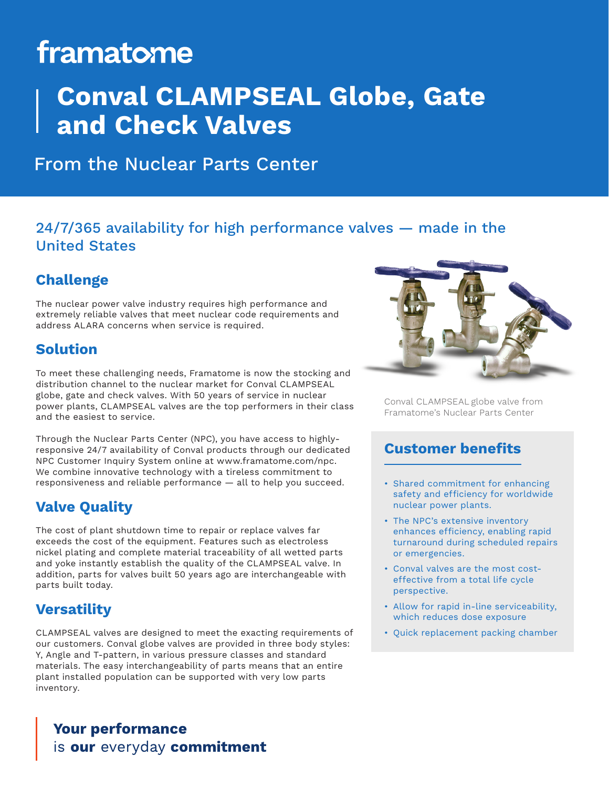# framatome

## **Conval CLAMPSEAL Globe, Gate and Check Valves**

### From the Nuclear Parts Center

#### 24/7/365 availability for high performance valves — made in the United States

### **Challenge**

The nuclear power valve industry requires high performance and extremely reliable valves that meet nuclear code requirements and address ALARA concerns when service is required.

#### **Solution**

To meet these challenging needs, Framatome is now the stocking and distribution channel to the nuclear market for Conval CLAMPSEAL globe, gate and check valves. With 50 years of service in nuclear power plants, CLAMPSEAL valves are the top performers in their class and the easiest to service.

Through the Nuclear Parts Center (NPC), you have access to highlyresponsive 24/7 availability of Conval products through our dedicated NPC Customer Inquiry System online at www.framatome.com/npc. We combine innovative technology with a tireless commitment to responsiveness and reliable performance — all to help you succeed.

#### **Valve Quality**

The cost of plant shutdown time to repair or replace valves far exceeds the cost of the equipment. Features such as electroless nickel plating and complete material traceability of all wetted parts and yoke instantly establish the quality of the CLAMPSEAL valve. In addition, parts for valves built 50 years ago are interchangeable with parts built today.

#### **Versatility**

CLAMPSEAL valves are designed to meet the exacting requirements of our customers. Conval globe valves are provided in three body styles: Y, Angle and T-pattern, in various pressure classes and standard materials. The easy interchangeability of parts means that an entire plant installed population can be supported with very low parts inventory.





Conval CLAMPSEAL globe valve from Framatome's Nuclear Parts Center

#### **Customer benefits**

- Shared commitment for enhancing safety and efficiency for worldwide nuclear power plants.
- The NPC's extensive inventory enhances efficiency, enabling rapid turnaround during scheduled repairs or emergencies.
- Conval valves are the most costeffective from a total life cycle perspective.
- Allow for rapid in-line serviceability, which reduces dose exposure
- Quick replacement packing chamber